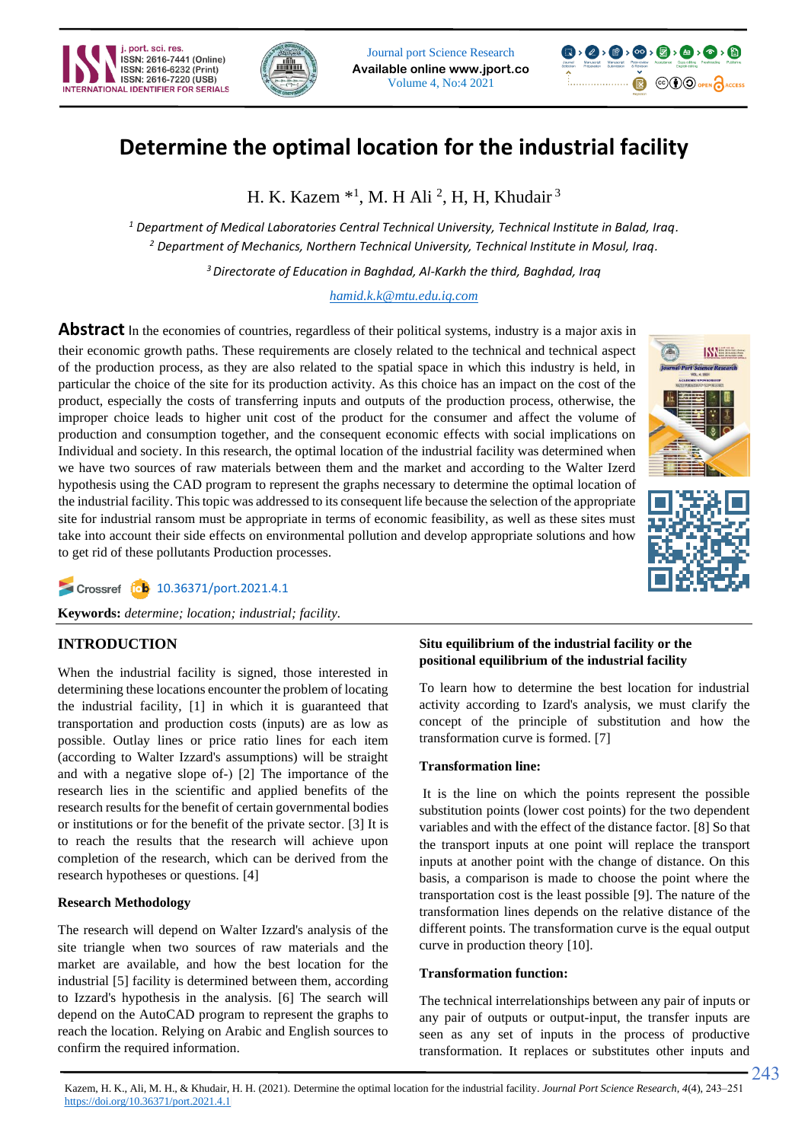





# **Determine the optimal location for the industrial facility**

H. K. Kazem  $*1$ , M. H Ali <sup>2</sup>, H, H, Khudair<sup>3</sup>

*<sup>1</sup> Department of Medical Laboratories Central Technical University, Technical Institute in Balad, Iraq. <sup>2</sup> Department of Mechanics, Northern Technical University, Technical Institute in Mosul, Iraq.*

*<sup>3</sup>Directorate of Education in Baghdad, Al-Karkh the third, Baghdad, Iraq*

*[hamid.k.k@mtu.edu.iq.com](mailto:hamid.k.k@mtu.edu.iq.com)*

Abstract In the economies of countries, regardless of their political systems, industry is a major axis in their economic growth paths. These requirements are closely related to the technical and technical aspect of the production process, as they are also related to the spatial space in which this industry is held, in particular the choice of the site for its production activity. As this choice has an impact on the cost of the product, especially the costs of transferring inputs and outputs of the production process, otherwise, the improper choice leads to higher unit cost of the product for the consumer and affect the volume of production and consumption together, and the consequent economic effects with social implications on Individual and society. In this research, the optimal location of the industrial facility was determined when we have two sources of raw materials between them and the market and according to the Walter Izerd hypothesis using the CAD program to represent the graphs necessary to determine the optimal location of the industrial facility. This topic was addressed to its consequent life because the selection of the appropriate site for industrial ransom must be appropriate in terms of economic feasibility, as well as these sites must take into account their side effects on environmental pollution and develop appropriate solutions and how to get rid of these pollutants Production processes.



Crossref (ob [10.36371/port.2021.4.1](https://doi.org/10.36371/port.2020.3.4)

**Keywords:** *determine; location; industrial; facility.*

## **INTRODUCTION**

When the industrial facility is signed, those interested in determining these locations encounter the problem of locating the industrial facility, [1] in which it is guaranteed that transportation and production costs (inputs) are as low as possible. Outlay lines or price ratio lines for each item (according to Walter Izzard's assumptions) will be straight and with a negative slope of- $(2)$  The importance of the research lies in the scientific and applied benefits of the research results for the benefit of certain governmental bodies or institutions or for the benefit of the private sector. [3] It is to reach the results that the research will achieve upon completion of the research, which can be derived from the research hypotheses or questions. [4]

## **Research Methodology**

The research will depend on Walter Izzard's analysis of the site triangle when two sources of raw materials and the market are available, and how the best location for the industrial [5] facility is determined between them, according to Izzard's hypothesis in the analysis. [6] The search will depend on the AutoCAD program to represent the graphs to reach the location. Relying on Arabic and English sources to confirm the required information.

## **Situ equilibrium of the industrial facility or the positional equilibrium of the industrial facility**

To learn how to determine the best location for industrial activity according to Izard's analysis, we must clarify the concept of the principle of substitution and how the transformation curve is formed. [7]

## **Transformation line:**

It is the line on which the points represent the possible substitution points (lower cost points) for the two dependent variables and with the effect of the distance factor. [8] So that the transport inputs at one point will replace the transport inputs at another point with the change of distance. On this basis, a comparison is made to choose the point where the transportation cost is the least possible [9]. The nature of the transformation lines depends on the relative distance of the different points. The transformation curve is the equal output curve in production theory [10].

## **Transformation function :**

The technical interrelationships between any pair of inputs or any pair of outputs or output-input, the transfer inputs are seen as any set of inputs in the process of productive transformation. It replaces or substitutes other inputs and

243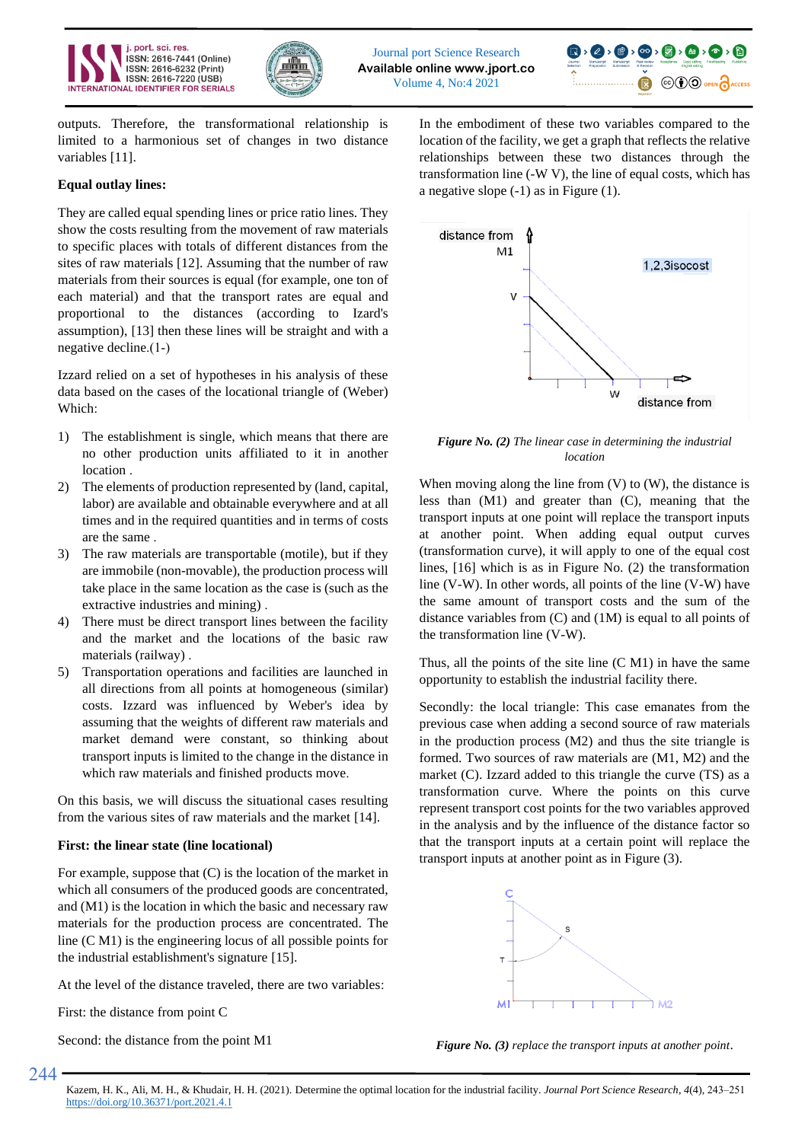





outputs. Therefore, the transformational relationship is limited to a harmonious set of changes in two distance variables [11].

## **Equal outlay lines :**

They are called equal spending lines or price ratio lines. They show the costs resulting from the movement of raw materials to specific places with totals of different distances from the sites of raw materials [12]. Assuming that the number of raw materials from their sources is equal (for example, one ton of each material) and that the transport rates are equal and proportional to the distances (according to Izard's assumption), [13] then these lines will be straight and with a negative decline. $(1-)$ 

Izzard relied on a set of hypotheses in his analysis of these data based on the cases of the locational triangle of (Weber) Which:

- 1) The establishment is single, which means that there are no other production units affiliated to it in another location .
- 2) The elements of production represented by (land, capital, labor) are available and obtainable everywhere and at all times and in the required quantities and in terms of costs are the same .
- 3) The raw materials are transportable (motile), but if they are immobile (non-movable), the production process will take place in the same location as the case is (such as the extractive industries and mining) .
- 4) There must be direct transport lines between the facility and the market and the locations of the basic raw materials (railway) .
- 5) Transportation operations and facilities are launched in all directions from all points at homogeneous (similar) costs. Izzard was influenced by Weber's idea by assuming that the weights of different raw materials and market demand were constant, so thinking about transport inputs is limited to the change in the distance in which raw materials and finished products move.

On this basis, we will discuss the situational cases resulting from the various sites of raw materials and the market [14].

## **First: the linear state (line locational)**

For example, suppose that (C) is the location of the market in which all consumers of the produced goods are concentrated, and (M1) is the location in which the basic and necessary raw materials for the production process are concentrated. The line (C M1) is the engineering locus of all possible points for the industrial establishment's signature [15].

At the level of the distance traveled, there are two variables:

First: the distance from point C

Second: the distance from the point M1

In the embodiment of these two variables compared to the location of the facility, we get a graph that reflects the relative relationships between these two distances through the transformation line (-W V), the line of equal costs, which has a negative slope (-1) as in Figure (1).



*Figure No. (2) The linear case in determining the industrial location*

When moving along the line from  $(V)$  to  $(W)$ , the distance is less than (M1) and greater than (C), meaning that the transport inputs at one point will replace the transport inputs at another point. When adding equal output curves (transformation curve), it will apply to one of the equal cost lines, [16] which is as in Figure No. (2) the transformation line (V-W). In other words, all points of the line (V-W) have the same amount of transport costs and the sum of the distance variables from (C) and (1M) is equal to all points of the transformation line (V-W).

Thus, all the points of the site line  $(C M1)$  in have the same opportunity to establish the industrial facility there.

Secondly: the local triangle: This case emanates from the previous case when adding a second source of raw materials in the production process (M2) and thus the site triangle is formed. Two sources of raw materials are (M1, M2) and the market (C). Izzard added to this triangle the curve (TS) as a transformation curve. Where the points on this curve represent transport cost points for the two variables approved in the analysis and by the influence of the distance factor so that the transport inputs at a certain point will replace the transport inputs at another point as in Figure (3).



*Figure No. (3) replace the transport inputs at another point*.

Kazem, H. K., Ali, M. H., & Khudair, H. H. (2021). Determine the optimal location for the industrial facility. *Journal Port Science Research*, *4*(4), 243–251 <https://doi.org/10.36371/port.2021.4.1>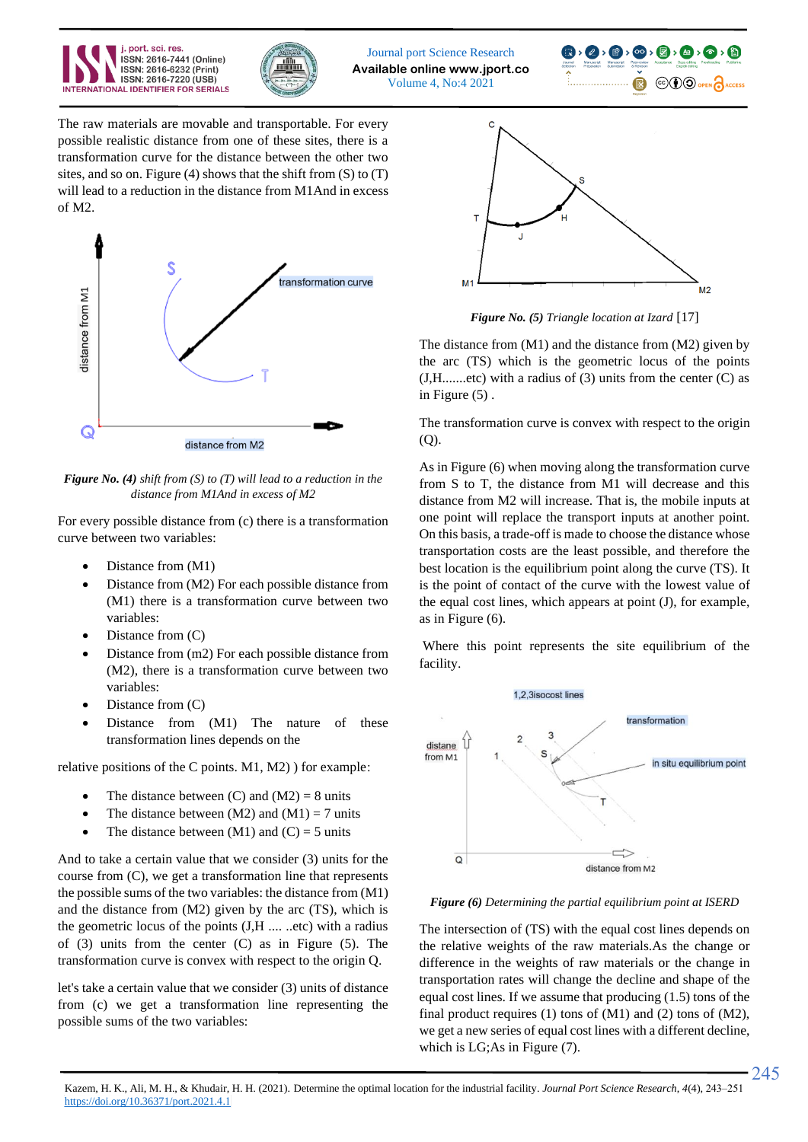





The raw materials are movable and transportable. For every possible realistic distance from one of these sites, there is a transformation curve for the distance between the other two sites, and so on. Figure (4) shows that the shift from  $(S)$  to  $(T)$ will lead to a reduction in the distance from M1And in excess of M2.



*Figure No. (4) shift from (S) to (T) will lead to a reduction in the distance from M1And in excess of M2*

For every possible distance from (c) there is a transformation curve between two variables:

- Distance from  $(M1)$
- Distance from (M2) For each possible distance from (M1) there is a transformation curve between two variables:
- Distance from (C)
- Distance from (m2) For each possible distance from (M2), there is a transformation curve between two variables:
- Distance from (C)
- Distance from (M1) The nature of these transformation lines depends on the

relative positions of the C points. M1, M2) ) for example:

- The distance between  $(C)$  and  $(M2) = 8$  units
- The distance between  $(M2)$  and  $(M1) = 7$  units
- The distance between  $(M1)$  and  $(C) = 5$  units

And to take a certain value that we consider (3) units for the course from (C), we get a transformation line that represents the possible sums of the two variables: the distance from (M1) and the distance from (M2) given by the arc (TS), which is the geometric locus of the points (J,H .... ..etc) with a radius of (3) units from the center (C) as in Figure (5). The transformation curve is convex with respect to the origin Q.

let's take a certain value that we consider (3) units of distance from (c) we get a transformation line representing the possible sums of the two variables:



*Figure No. (5) Triangle location at Izard* [17]

The distance from (M1) and the distance from (M2) given by the arc (TS) which is the geometric locus of the points  $(J,H$ .......etc) with a radius of  $(3)$  units from the center  $(C)$  as in Figure (5) .

The transformation curve is convex with respect to the origin  $(O)$ .

As in Figure (6) when moving along the transformation curve from S to T, the distance from M1 will decrease and this distance from M2 will increase. That is, the mobile inputs at one point will replace the transport inputs at another point. On this basis, a trade-off is made to choose the distance whose transportation costs are the least possible, and therefore the best location is the equilibrium point along the curve (TS). It is the point of contact of the curve with the lowest value of the equal cost lines, which appears at point (J), for example, as in Figure (6).

Where this point represents the site equilibrium of the facility.



*Figure (6) Determining the partial equilibrium point at ISERD*

The intersection of (TS) with the equal cost lines depends on the relative weights of the raw materials.As the change or difference in the weights of raw materials or the change in transportation rates will change the decline and shape of the equal cost lines. If we assume that producing (1.5) tons of the final product requires (1) tons of (M1) and (2) tons of (M2), we get a new series of equal cost lines with a different decline, which is LG;As in Figure (7).

245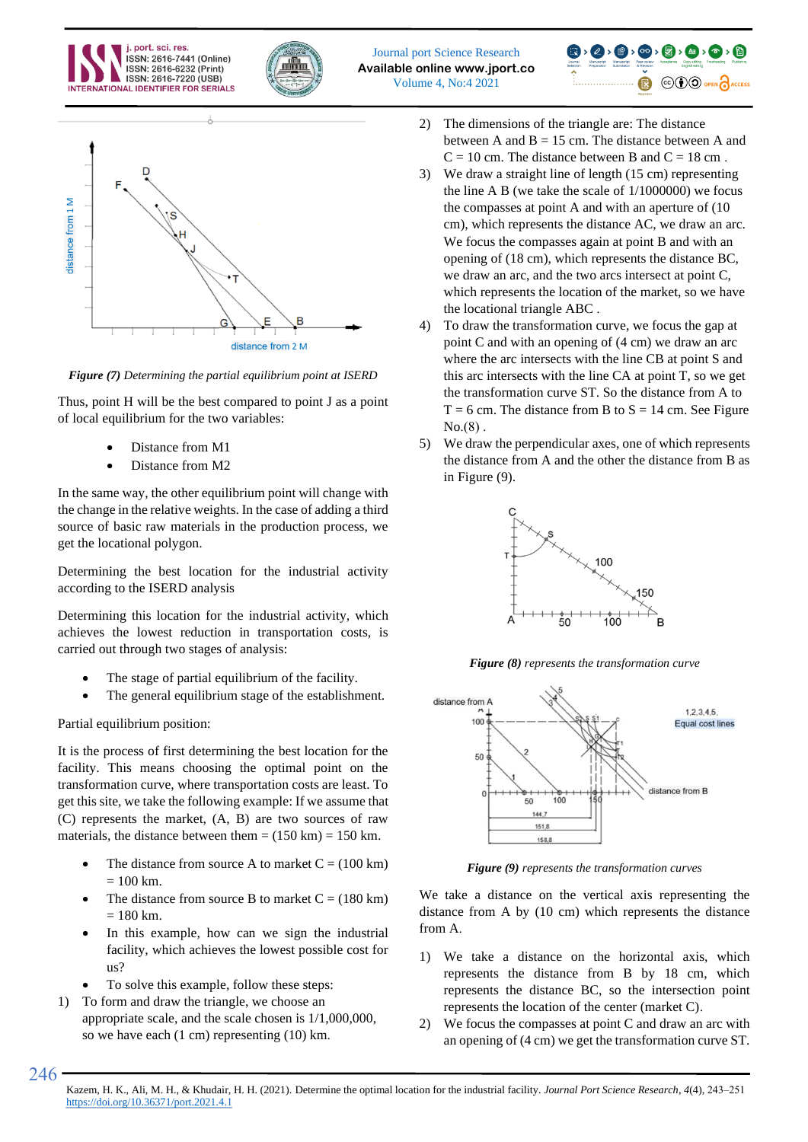







*Figure (7) Determining the partial equilibrium point at ISERD*

Thus, point H will be the best compared to point J as a point of local equilibrium for the two variables:

- Distance from M1
- Distance from M2

In the same way, the other equilibrium point will change with the change in the relative weights. In the case of adding a third source of basic raw materials in the production process, we get the locational polygon.

Determining the best location for the industrial activity according to the ISERD analysis

Determining this location for the industrial activity, which achieves the lowest reduction in transportation costs, is carried out through two stages of analysis:

- The stage of partial equilibrium of the facility.
- The general equilibrium stage of the establishment.

## Partial equilibrium position:

246

It is the process of first determining the best location for the facility. This means choosing the optimal point on the transformation curve, where transportation costs are least. To get this site, we take the following example: If we assume that (C) represents the market, (A, B) are two sources of raw materials, the distance between them  $= (150 \text{ km}) = 150 \text{ km}$ .

- The distance from source A to market  $C = (100 \text{ km})$  $= 100$  km.
- The distance from source B to market  $C = (180 \text{ km})$  $= 180$  km.
- In this example, how can we sign the industrial facility, which achieves the lowest possible cost for us?
- To solve this example, follow these steps:
- 1) To form and draw the triangle, we choose an appropriate scale, and the scale chosen is 1/1,000,000, so we have each (1 cm) representing (10) km .
- 2) The dimensions of the triangle are: The distance between A and  $B = 15$  cm. The distance between A and  $C = 10$  cm. The distance between B and  $C = 18$  cm.
- 3) We draw a straight line of length (15 cm) representing the line A B (we take the scale of 1/1000000) we focus the compasses at point A and with an aperture of (10 cm), which represents the distance AC, we draw an arc. We focus the compasses again at point B and with an opening of (18 cm), which represents the distance BC, we draw an arc, and the two arcs intersect at point C, which represents the location of the market, so we have the locational triangle ABC .
- 4) To draw the transformation curve, we focus the gap at point C and with an opening of (4 cm) we draw an arc where the arc intersects with the line CB at point S and this arc intersects with the line CA at point T, so we get the transformation curve ST. So the distance from A to  $T = 6$  cm. The distance from B to  $S = 14$  cm. See Figure  $No. (8)$ .
- 5) We draw the perpendicular axes, one of which represents the distance from A and the other the distance from B as in Figure (9).



*Figure (8) represents the transformation curve*



*Figure (9) represents the transformation curves*

We take a distance on the vertical axis representing the distance from A by (10 cm) which represents the distance from A.

- 1) We take a distance on the horizontal axis, which represents the distance from B by 18 cm, which represents the distance BC, so the intersection point represents the location of the center (market C).
- 2) We focus the compasses at point C and draw an arc with an opening of (4 cm) we get the transformation curve ST.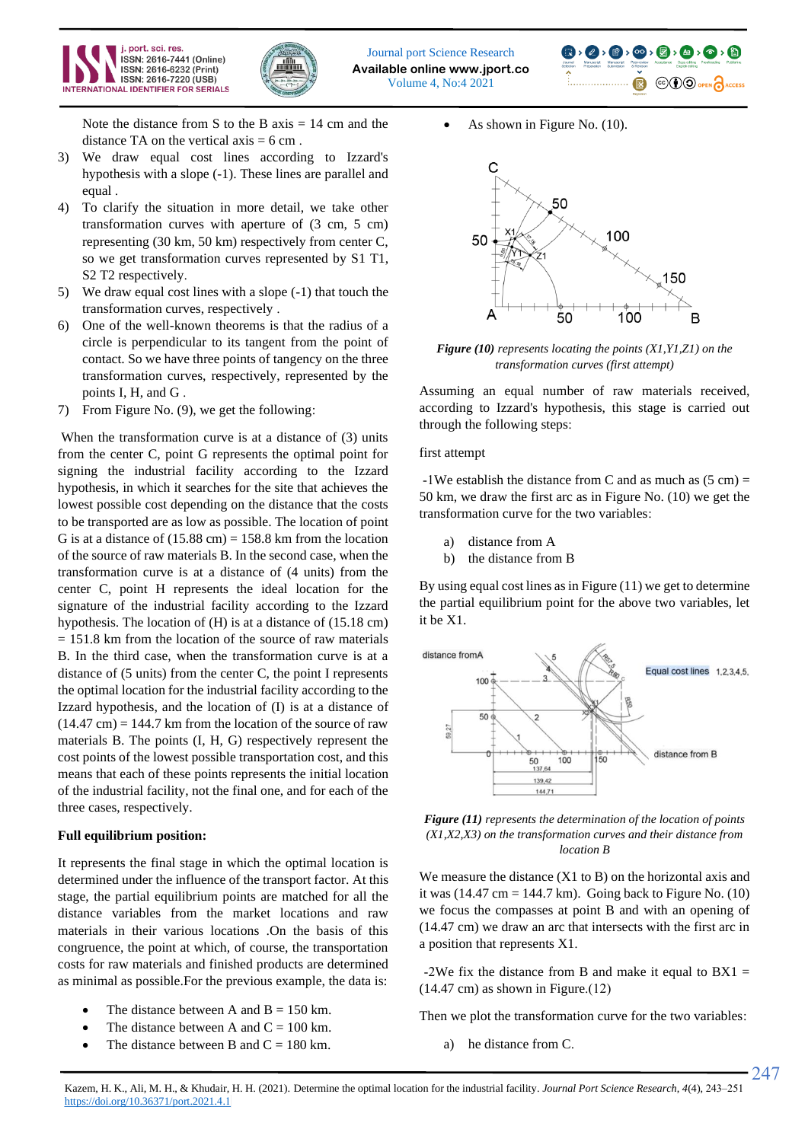





- Note the distance from S to the B axis  $= 14$  cm and the distance TA on the vertical axis  $= 6$  cm.
- 3) We draw equal cost lines according to Izzard's hypothesis with a slope (-1). These lines are parallel and equal .
- 4) To clarify the situation in more detail, we take other transformation curves with aperture of (3 cm, 5 cm) representing (30 km, 50 km) respectively from center C, so we get transformation curves represented by S1 T1, S2 T2 respectively.
- 5) We draw equal cost lines with a slope (-1) that touch the transformation curves, respectively .
- 6) One of the well-known theorems is that the radius of a circle is perpendicular to its tangent from the point of contact. So we have three points of tangency on the three transformation curves, respectively, represented by the points I, H, and G .
- 7) From Figure No. (9), we get the following :

When the transformation curve is at a distance of (3) units from the center C, point G represents the optimal point for signing the industrial facility according to the Izzard hypothesis, in which it searches for the site that achieves the lowest possible cost depending on the distance that the costs to be transported are as low as possible. The location of point G is at a distance of  $(15.88 \text{ cm}) = 158.8 \text{ km}$  from the location of the source of raw materials B. In the second case, when the transformation curve is at a distance of (4 units) from the center C, point H represents the ideal location for the signature of the industrial facility according to the Izzard hypothesis. The location of (H) is at a distance of (15.18 cm)  $= 151.8$  km from the location of the source of raw materials B. In the third case, when the transformation curve is at a distance of (5 units) from the center C, the point I represents the optimal location for the industrial facility according to the Izzard hypothesis, and the location of (I) is at a distance of  $(14.47 \text{ cm}) = 144.7 \text{ km from the location of the source of raw}$ materials B. The points (I, H, G) respectively represent the cost points of the lowest possible transportation cost, and this means that each of these points represents the initial location of the industrial facility, not the final one, and for each of the three cases, respectively.

#### **Full equilibrium position:**

It represents the final stage in which the optimal location is determined under the influence of the transport factor. At this stage, the partial equilibrium points are matched for all the distance variables from the market locations and raw materials in their various locations .On the basis of this congruence, the point at which, of course, the transportation costs for raw materials and finished products are determined as minimal as possible.For the previous example, the data is:

- The distance between A and  $B = 150$  km.
- The distance between A and  $C = 100$  km.
- The distance between B and  $C = 180$  km.

As shown in Figure No. (10).



*Figure (10) represents locating the points (X1,Y1,Z1) on the transformation curves (first attempt)*

Assuming an equal number of raw materials received, according to Izzard's hypothesis, this stage is carried out through the following steps :

first attempt

-1We establish the distance from C and as much as  $(5 \text{ cm}) =$ 50 km, we draw the first arc as in Figure No. (10) we get the transformation curve for the two variables:

- a) distance from A
- b) the distance from B

By using equal cost lines as in Figure (11) we get to determine the partial equilibrium point for the above two variables, let it be X1.



*Figure (11) represents the determination of the location of points (X1,X2,X3) on the transformation curves and their distance from location B*

We measure the distance  $(X1$  to B) on the horizontal axis and it was  $(14.47 \text{ cm} = 144.7 \text{ km})$ . Going back to Figure No.  $(10)$ we focus the compasses at point B and with an opening of (14.47 cm) we draw an arc that intersects with the first arc in a position that represents X1 .

-2We fix the distance from B and make it equal to  $BX1 =$  $(14.47 \text{ cm})$  as shown in Figure. $(12)$ 

Then we plot the transformation curve for the two variables:

247

a) he distance from C.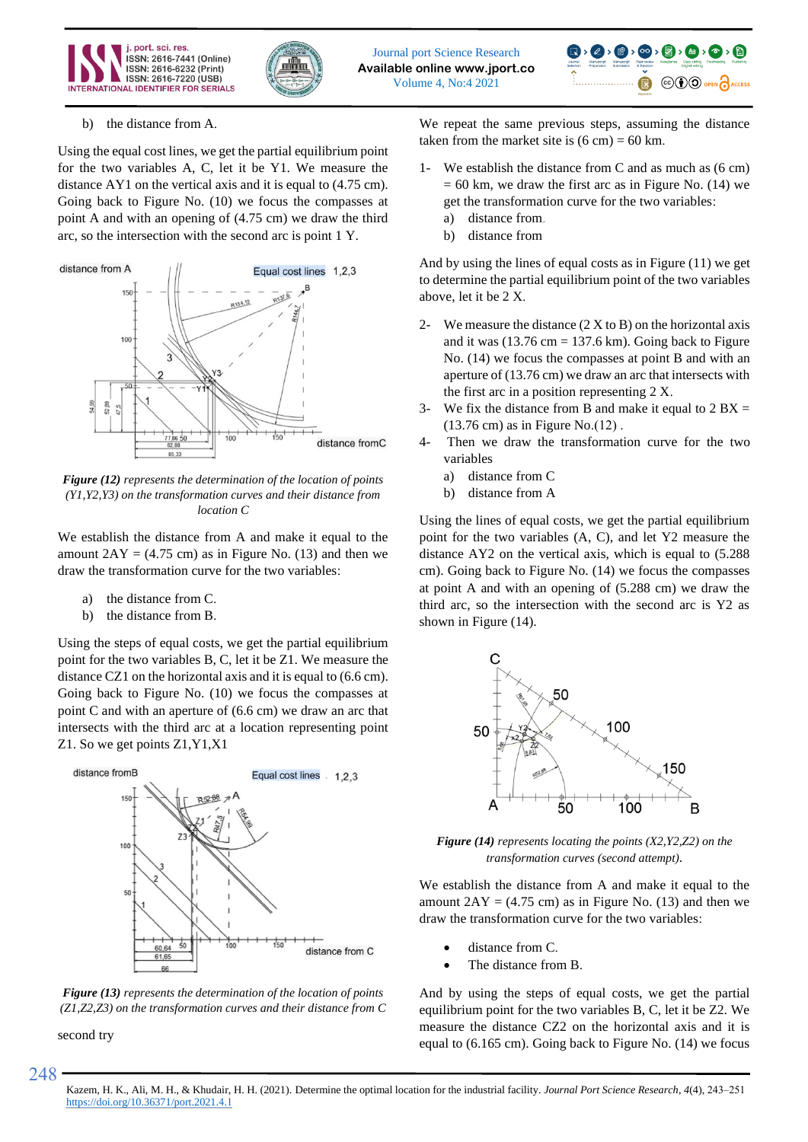





#### b) the distance from A.

Using the equal cost lines, we get the partial equilibrium point for the two variables A, C, let it be Y1. We measure the distance AY1 on the vertical axis and it is equal to (4.75 cm). Going back to Figure No. (10) we focus the compasses at point A and with an opening of (4.75 cm) we draw the third arc, so the intersection with the second arc is point 1 Y.



*Figure (12) represents the determination of the location of points (Y1,Y2,Y3) on the transformation curves and their distance from location C*

We establish the distance from A and make it equal to the amount  $2AY = (4.75 \text{ cm})$  as in Figure No. (13) and then we draw the transformation curve for the two variables :

- a) the distance from C.
- b) the distance from B.

Using the steps of equal costs, we get the partial equilibrium point for the two variables B, C, let it be Z1. We measure the distance CZ1 on the horizontal axis and it is equal to (6.6 cm). Going back to Figure No. (10) we focus the compasses at point C and with an aperture of (6.6 cm) we draw an arc that intersects with the third arc at a location representing point Z1. So we get points Z1,Y1,X1





second try

248

We repeat the same previous steps, assuming the distance taken from the market site is  $(6 \text{ cm}) = 60 \text{ km}$ .

- 1- We establish the distance from C and as much as (6 cm)  $= 60$  km, we draw the first arc as in Figure No. (14) we get the transformation curve for the two variables:
	- a) distance from
	- b) distance from

And by using the lines of equal costs as in Figure (11) we get to determine the partial equilibrium point of the two variables above, let it be 2 X.

- 2- We measure the distance  $(2 X to B)$  on the horizontal axis and it was  $(13.76 \text{ cm} = 137.6 \text{ km})$ . Going back to Figure No. (14) we focus the compasses at point B and with an aperture of (13.76 cm) we draw an arc that intersects with the first arc in a position representing  $2 X$ .
- 3- We fix the distance from B and make it equal to  $2 BX =$  $(13.76 \text{ cm})$  as in Figure No. $(12)$ .
- 4- Then we draw the transformation curve for the two variables
	- a) distance from C
	- b) distance from A

Using the lines of equal costs, we get the partial equilibrium point for the two variables (A, C), and let Y2 measure the distance AY2 on the vertical axis, which is equal to (5.288 cm). Going back to Figure No. (14) we focus the compasses at point A and with an opening of (5.288 cm) we draw the third arc, so the intersection with the second arc is Y2 as shown in Figure (14).



*Figure (14) represents locating the points (X2,Y2,Z2) on the transformation curves (second attempt).*

We establish the distance from A and make it equal to the amount  $2AY = (4.75 \text{ cm})$  as in Figure No. (13) and then we draw the transformation curve for the two variables :

- distance from C.
- The distance from B.

And by using the steps of equal costs, we get the partial equilibrium point for the two variables B, C, let it be Z2. We measure the distance CZ2 on the horizontal axis and it is equal to (6.165 cm). Going back to Figure No. (14) we focus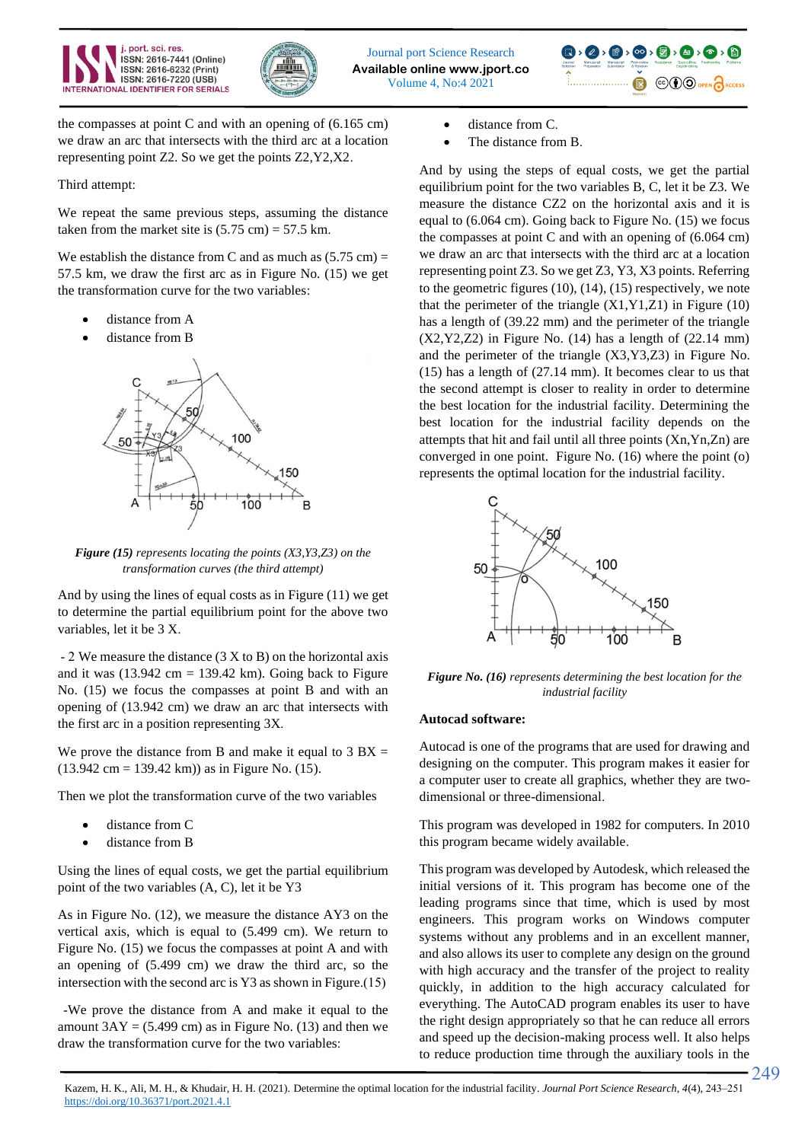





the compasses at point C and with an opening of (6.165 cm) we draw an arc that intersects with the third arc at a location representing point Z2. So we get the points Z2,Y2,X2 .

## Third attempt:

We repeat the same previous steps, assuming the distance taken from the market site is  $(5.75 \text{ cm}) = 57.5 \text{ km}$ .

We establish the distance from C and as much as  $(5.75 \text{ cm}) =$ 57.5 km, we draw the first arc as in Figure No. (15) we get the transformation curve for the two variables:

- distance from A
- distance from B



*Figure (15) represents locating the points (X3,Y3,Z3) on the transformation curves (the third attempt)*

And by using the lines of equal costs as in Figure (11) we get to determine the partial equilibrium point for the above two variables, let it be 3 X.

 - 2 We measure the distance (3 X to B) on the horizontal axis and it was  $(13.942 \text{ cm} = 139.42 \text{ km})$ . Going back to Figure No. (15) we focus the compasses at point B and with an opening of (13.942 cm) we draw an arc that intersects with the first arc in a position representing 3X .

We prove the distance from B and make it equal to  $3 BX =$  $(13.942 \text{ cm} = 139.42 \text{ km})$  as in Figure No. (15).

Then we plot the transformation curve of the two variables

- distance from C
- distance from B

Using the lines of equal costs, we get the partial equilibrium point of the two variables (A, C), let it be Y3

As in Figure No. (12), we measure the distance AY3 on the vertical axis, which is equal to (5.499 cm). We return to Figure No. (15) we focus the compasses at point A and with an opening of (5.499 cm) we draw the third arc, so the intersection with the second arc is  $Y3$  as shown in Figure.(15)

 -We prove the distance from A and make it equal to the amount  $3AY = (5.499 \text{ cm})$  as in Figure No. (13) and then we draw the transformation curve for the two variables:

- distance from C.
- The distance from B.

And by using the steps of equal costs, we get the partial equilibrium point for the two variables B, C, let it be Z3. We measure the distance CZ2 on the horizontal axis and it is equal to (6.064 cm). Going back to Figure No. (15) we focus the compasses at point C and with an opening of (6.064 cm) we draw an arc that intersects with the third arc at a location representing point Z3. So we get Z3, Y3, X3 points. Referring to the geometric figures (10), (14), (15) respectively, we note that the perimeter of the triangle  $(X1, Y1, Z1)$  in Figure (10) has a length of (39.22 mm) and the perimeter of the triangle  $(X2,Y2,Z2)$  in Figure No. (14) has a length of  $(22.14 \text{ mm})$ and the perimeter of the triangle (X3,Y3,Z3) in Figure No. (15) has a length of (27.14 mm). It becomes clear to us that the second attempt is closer to reality in order to determine the best location for the industrial facility. Determining the best location for the industrial facility depends on the attempts that hit and fail until all three points (Xn,Yn,Zn) are converged in one point. Figure No. (16) where the point (o) represents the optimal location for the industrial facility.



*Figure No. (16) represents determining the best location for the industrial facility*

## **Autocad software:**

Autocad is one of the programs that are used for drawing and designing on the computer. This program makes it easier for a computer user to create all graphics, whether they are twodimensional or three-dimensional.

This program was developed in 1982 for computers. In 2010 this program became widely available.

This program was developed by Autodesk, which released the initial versions of it. This program has become one of the leading programs since that time, which is used by most engineers. This program works on Windows computer systems without any problems and in an excellent manner, and also allows its user to complete any design on the ground with high accuracy and the transfer of the project to reality quickly, in addition to the high accuracy calculated for everything. The AutoCAD program enables its user to have the right design appropriately so that he can reduce all errors and speed up the decision-making process well. It also helps to reduce production time through the auxiliary tools in the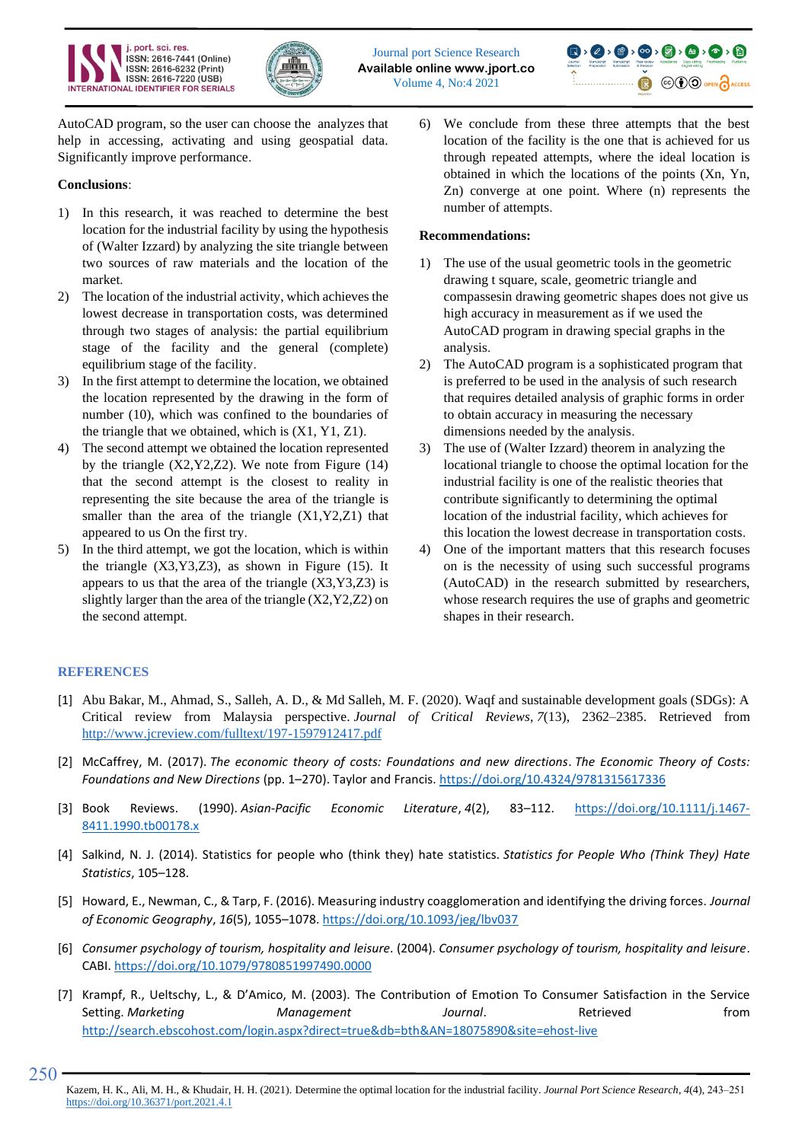





AutoCAD program, so the user can choose the analyzes that help in accessing, activating and using geospatial data. Significantly improve performance .

## **Conclusions** :

- 1) In this research, it was reached to determine the best location for the industrial facility by using the hypothesis of (Walter Izzard) by analyzing the site triangle between two sources of raw materials and the location of the market .
- 2) The location of the industrial activity, which achieves the lowest decrease in transportation costs, was determined through two stages of analysis: the partial equilibrium stage of the facility and the general (complete) equilibrium stage of the facility.
- 3) In the first attempt to determine the location, we obtained the location represented by the drawing in the form of number (10), which was confined to the boundaries of the triangle that we obtained, which is  $(X1, Y1, Z1)$ .
- 4) The second attempt we obtained the location represented by the triangle  $(X2, Y2, Z2)$ . We note from Figure  $(14)$ that the second attempt is the closest to reality in representing the site because the area of the triangle is smaller than the area of the triangle (X1,Y2,Z1) that appeared to us On the first try.
- 5) In the third attempt, we got the location, which is within the triangle (X3,Y3,Z3), as shown in Figure (15). It appears to us that the area of the triangle  $(X3, Y3, Z3)$  is slightly larger than the area of the triangle (X2,Y2,Z2) on the second attempt.

6) We conclude from these three attempts that the best location of the facility is the one that is achieved for us through repeated attempts, where the ideal location is obtained in which the locations of the points (Xn, Yn, Zn) converge at one point. Where (n) represents the number of attempts.

## **Recommendations :**

- 1) The use of the usual geometric tools in the geometric drawing t square, scale, geometric triangle and compassesin drawing geometric shapes does not give us high accuracy in measurement as if we used the AutoCAD program in drawing special graphs in the analysis.
- 2) The AutoCAD program is a sophisticated program that is preferred to be used in the analysis of such research that requires detailed analysis of graphic forms in order to obtain accuracy in measuring the necessary dimensions needed by the analysis .
- 3) The use of (Walter Izzard) theorem in analyzing the locational triangle to choose the optimal location for the industrial facility is one of the realistic theories that contribute significantly to determining the optimal location of the industrial facility, which achieves for this location the lowest decrease in transportation costs.
- 4) One of the important matters that this research focuses on is the necessity of using such successful programs (AutoCAD) in the research submitted by researchers, whose research requires the use of graphs and geometric shapes in their research.

## **REFERENCES**

- [1] Abu Bakar, M., Ahmad, S., Salleh, A. D., & Md Salleh, M. F. (2020). Waqf and sustainable development goals (SDGs): A Critical review from Malaysia perspective. *Journal of Critical Reviews*, *7*(13), 2362–2385. Retrieved from <http://www.jcreview.com/fulltext/197-1597912417.pdf>
- [2] McCaffrey, M. (2017). *The economic theory of costs: Foundations and new directions*. *The Economic Theory of Costs: Foundations and New Directions* (pp. 1–270). Taylor and Francis.<https://doi.org/10.4324/9781315617336>
- [3] Book Reviews. (1990). *Asian‐Pacific Economic Literature*, *4*(2), 83–112. [https://doi.org/10.1111/j.1467-](https://doi.org/10.1111/j.1467-8411.1990.tb00178.x) [8411.1990.tb00178.x](https://doi.org/10.1111/j.1467-8411.1990.tb00178.x)
- [4] Salkind, N. J. (2014). Statistics for people who (think they) hate statistics. *Statistics for People Who (Think They) Hate Statistics*, 105–128.
- [5] Howard, E., Newman, C., & Tarp, F. (2016). Measuring industry coagglomeration and identifying the driving forces. *Journal of Economic Geography*, *16*(5), 1055–1078[. https://doi.org/10.1093/jeg/lbv037](https://doi.org/10.1093/jeg/lbv037)
- [6] *Consumer psychology of tourism, hospitality and leisure*. (2004). *Consumer psychology of tourism, hospitality and leisure*. CABI.<https://doi.org/10.1079/9780851997490.0000>
- [7] Krampf, R., Ueltschy, L., & D'Amico, M. (2003). The Contribution of Emotion To Consumer Satisfaction in the Service Setting. *Marketing Management Journal*. Retrieved from <http://search.ebscohost.com/login.aspx?direct=true&db=bth&AN=18075890&site=ehost-live>

<sup>250</sup>